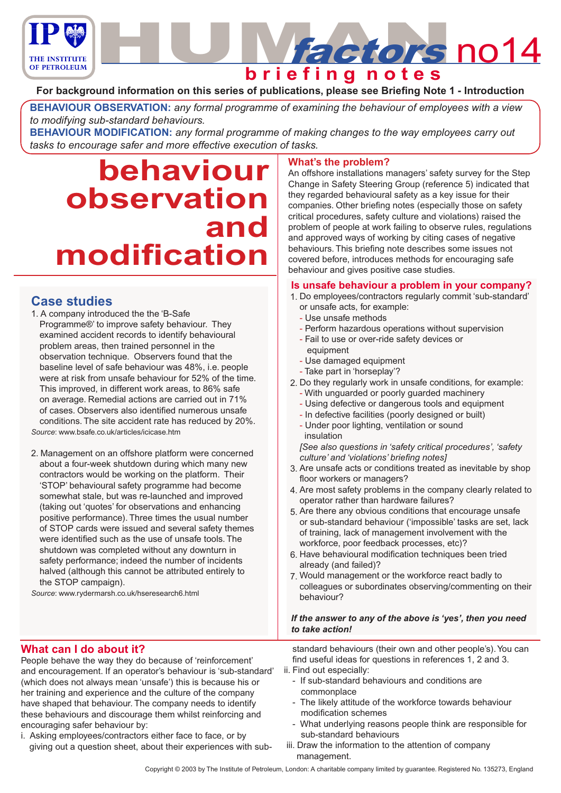

## **For background information on this series of publications, please see Briefing Note 1 - Introduction**

**BEHAVIOUR OBSERVATION:** *any formal programme of examining the behaviour of employees with a view to modifying sub-standard behaviours.*

**BEHAVIOUR MODIFICATION:** *any formal programme of making changes to the way employees carry out tasks to encourage safer and more effective execution of tasks.*

# **behaviour observation and modification**

# **Case studies**

1. A company introduced the the 'B-Safe Programme®' to improve safety behaviour. They examined accident records to identify behavioural problem areas, then trained personnel in the observation technique. Observers found that the baseline level of safe behaviour was 48%, i.e. people were at risk from unsafe behaviour for 52% of the time. This improved, in different work areas, to 86% safe on average. Remedial actions are carried out in 71% of cases. Observers also identified numerous unsafe conditions. The site accident rate has reduced by 20%.

*Source*: www.bsafe.co.uk/articles/icicase.htm

2. Management on an offshore platform were concerned about a four-week shutdown during which many new contractors would be working on the platform. Their 'STOP' behavioural safety programme had become somewhat stale, but was re-launched and improved (taking out 'quotes' for observations and enhancing positive performance). Three times the usual number of STOP cards were issued and several safety themes were identified such as the use of unsafe tools. The shutdown was completed without any downturn in safety performance; indeed the number of incidents halved (although this cannot be attributed entirely to the STOP campaign).

*Source*: www.rydermarsh.co.uk/hseresearch6.html

## **What's the problem?**

An offshore installations managers' safety survey for the Step Change in Safety Steering Group (reference 5) indicated that they regarded behavioural safety as a key issue for their companies. Other briefing notes (especially those on safety critical procedures, safety culture and violations) raised the problem of people at work failing to observe rules, regulations and approved ways of working by citing cases of negative behaviours. This briefing note describes some issues not covered before, introduces methods for encouraging safe behaviour and gives positive case studies.

## **Is unsafe behaviour a problem in your company?**

- Do employees/contractors regularly commit 'sub-standard' 1. or unsafe acts, for example:
	- Use unsafe methods
	- Perform hazardous operations without supervision
	- Fail to use or over-ride safety devices or
	- equipment - Use damaged equipment
	- Take part in 'horseplay'?
- 2. Do they regularly work in unsafe conditions, for example:
	- With unguarded or poorly guarded machinery
	- Using defective or dangerous tools and equipment
	- In defective facilities (poorly designed or built)
	- Under poor lighting, ventilation or sound insulation

*[See also questions in 'safety critical procedures', 'safety culture' and 'violations' briefing notes]*

- Are unsafe acts or conditions treated as inevitable by shop 3. floor workers or managers?
- Are most safety problems in the company clearly related to 4. operator rather than hardware failures?
- 5. Are there any obvious conditions that encourage unsafe or sub-standard behaviour ('impossible' tasks are set, lack of training, lack of management involvement with the workforce, poor feedback processes, etc)?
- 6. Have behavioural modification techniques been tried already (and failed)?
- 7. Would management or the workforce react badly to colleagues or subordinates observing/commenting on their behaviour?

## *If the answer to any of the above is 'yes', then you need to take action!*

**What can I do about it?**

People behave the way they do because of 'reinforcement' and encouragement. If an operator's behaviour is 'sub-standard' (which does not always mean 'unsafe') this is because his or her training and experience and the culture of the company have shaped that behaviour. The company needs to identify these behaviours and discourage them whilst reinforcing and encouraging safer behaviour by:

i. Asking employees/contractors either face to face, or by giving out a question sheet, about their experiences with substandard behaviours (their own and other people's). You can find useful ideas for questions in references 1, 2 and 3.

- ii. Find out especially:
	- If sub-standard behaviours and conditions are commonplace
	- The likely attitude of the workforce towards behaviour modification schemes
	- What underlying reasons people think are responsible for sub-standard behaviours
- iii. Draw the information to the attention of company management.